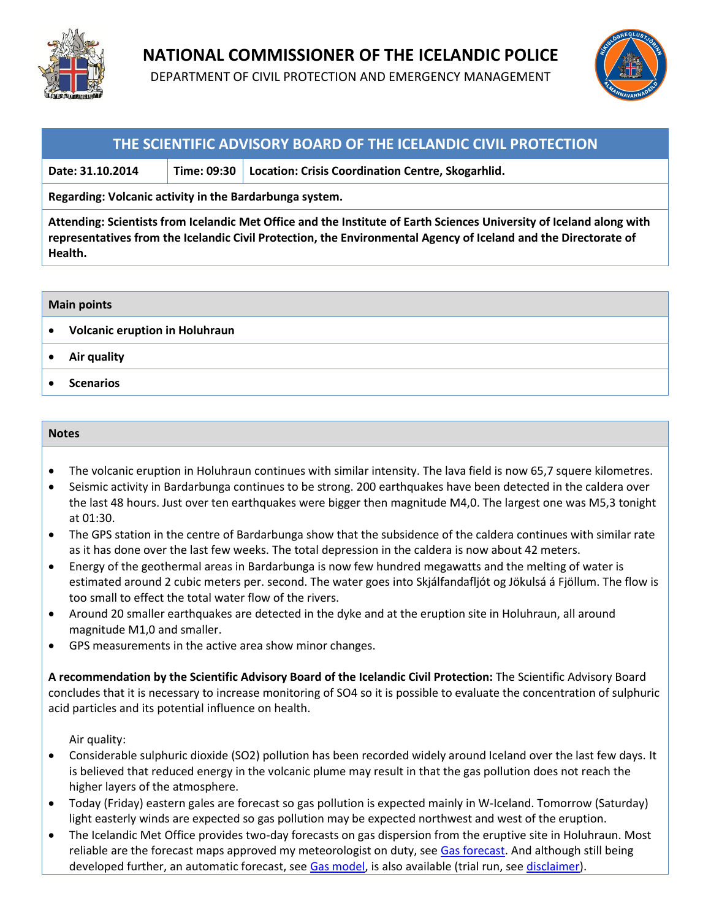

## **NATIONAL COMMISSIONER OF THE ICELANDIC POLICE**

DEPARTMENT OF CIVIL PROTECTION AND EMERGENCY MANAGEMENT



### **THE SCIENTIFIC ADVISORY BOARD OF THE ICELANDIC CIVIL PROTECTION**

**Date: 31.10.2014 Time: 09:30 Location: Crisis Coordination Centre, Skogarhlid.**

**Regarding: Volcanic activity in the Bardarbunga system.** 

**Attending: Scientists from Icelandic Met Office and the Institute of Earth Sciences University of Iceland along with representatives from the Icelandic Civil Protection, the Environmental Agency of Iceland and the Directorate of Health.**

#### **Main points**

- **Volcanic eruption in Holuhraun**
- **Air quality**
- **Scenarios**

#### **Notes**

- The volcanic eruption in Holuhraun continues with similar intensity. The lava field is now 65,7 squere kilometres.
- Seismic activity in Bardarbunga continues to be strong. 200 earthquakes have been detected in the caldera over the last 48 hours. Just over ten earthquakes were bigger then magnitude M4,0. The largest one was M5,3 tonight at 01:30.
- The GPS station in the centre of Bardarbunga show that the subsidence of the caldera continues with similar rate as it has done over the last few weeks. The total depression in the caldera is now about 42 meters.
- Energy of the geothermal areas in Bardarbunga is now few hundred megawatts and the melting of water is estimated around 2 cubic meters per. second. The water goes into Skjálfandafljót og Jökulsá á Fjöllum. The flow is too small to effect the total water flow of the rivers.
- Around 20 smaller earthquakes are detected in the dyke and at the eruption site in Holuhraun, all around magnitude M1,0 and smaller.
- GPS measurements in the active area show minor changes.

**A recommendation by the Scientific Advisory Board of the Icelandic Civil Protection:** The Scientific Advisory Board concludes that it is necessary to increase monitoring of SO4 so it is possible to evaluate the concentration of sulphuric acid particles and its potential influence on health.

Air quality:

- Considerable sulphuric dioxide (SO2) pollution has been recorded widely around Iceland over the last few days. It is believed that reduced energy in the volcanic plume may result in that the gas pollution does not reach the higher layers of the atmosphere.
- Today (Friday) eastern gales are forecast so gas pollution is expected mainly in W-Iceland. Tomorrow (Saturday) light easterly winds are expected so gas pollution may be expected northwest and west of the eruption.
- The Icelandic Met Office provides two-day forecasts on gas dispersion from the eruptive site in Holuhraun. Most reliable are the forecast maps approved my meteorologist on duty, see [Gas forecast.](http://en.vedur.is/weather/forecasts/text/gas/) And although still being developed further, an automatic forecast, see [Gas model,](http://en.vedur.is/weather/forecasts/gas-model/) is also available (trial run, se[e disclaimer\)](http://en.vedur.is/weather/forecasts/gas-model/#disclaimer).